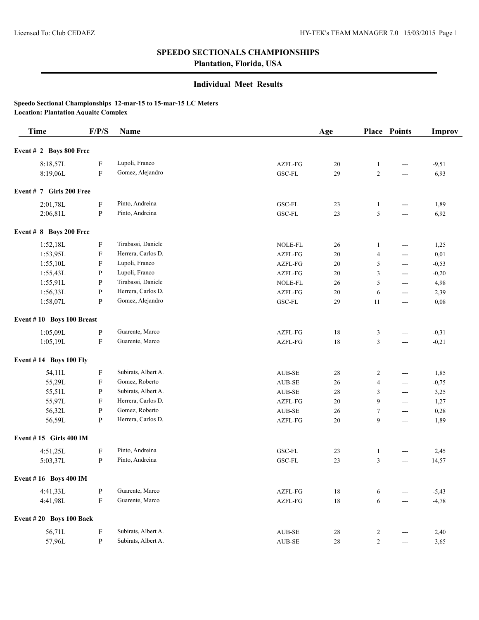# **SPEEDO SECTIONALS CHAMPIONSHIPS**

**Plantation, Florida, USA**

### **Individual Meet Results**

#### **Speedo Sectional Championships 12-mar-15 to 15-mar-15 LC Meters Location: Plantation Aquaitc Complex**

| <b>Time</b>                   | F/P/S        | Name                |                             | Age    |                | <b>Place Points</b>  | <b>Improv</b> |
|-------------------------------|--------------|---------------------|-----------------------------|--------|----------------|----------------------|---------------|
| Event # 2 Boys 800 Free       |              |                     |                             |        |                |                      |               |
| 8:18,57L                      | F            | Lupoli, Franco      | AZFL-FG                     | 20     | 1              | ---                  | $-9,51$       |
| 8:19,06L                      | ${\bf F}$    | Gomez, Alejandro    | GSC-FL                      | 29     | $\sqrt{2}$     | ---                  | 6,93          |
| Event # 7 Girls 200 Free      |              |                     |                             |        |                |                      |               |
| 2:01,78L                      | $\mathbf F$  | Pinto, Andreina     | $_{\mathrm{GSC}\text{-FL}}$ | 23     | 1              | $\sim$ $\sim$        | 1,89          |
| 2:06,81L                      | P            | Pinto, Andreina     | GSC-FL                      | 23     | 5              | $\overline{a}$       | 6,92          |
| Event $# 8$ Boys 200 Free     |              |                     |                             |        |                |                      |               |
| 1:52,18L                      | F            | Tirabassi, Daniele  | NOLE-FL                     | 26     | $\mathbf{1}$   | ---                  | 1,25          |
| 1:53,95L                      | F            | Herrera, Carlos D.  | AZFL-FG                     | 20     | 4              | ---                  | 0,01          |
| 1:55,10L                      | F            | Lupoli, Franco      | AZFL-FG                     | 20     | 5              | $\sim$ $\sim$        | $-0,53$       |
| 1:55,43L                      | P            | Lupoli, Franco      | AZFL-FG                     | 20     | 3              | $\overline{a}$       | $-0,20$       |
| 1:55,91L                      | $\mathbf{P}$ | Tirabassi, Daniele  | NOLE-FL                     | 26     | 5              | $\overline{a}$       | 4,98          |
| 1:56,33L                      | $\mathbf{P}$ | Herrera, Carlos D.  | AZFL-FG                     | 20     | 6              | $\sim$ $\sim$        | 2,39          |
| 1:58,07L                      | P            | Gomez, Alejandro    | GSC-FL                      | 29     | 11             | $\sim$ $\sim$        | 0,08          |
| Event #10 Boys 100 Breast     |              |                     |                             |        |                |                      |               |
| 1:05,09L                      | ${\bf P}$    | Guarente, Marco     | AZFL-FG                     | $18\,$ | 3              | $\sim$ $\sim$        | $-0,31$       |
| 1:05,19L                      | $\mathbf F$  | Guarente, Marco     | AZFL-FG                     | 18     | 3              | ---                  | $-0,21$       |
| <b>Event #14 Boys 100 Fly</b> |              |                     |                             |        |                |                      |               |
| 54,11L                        | F            | Subirats, Albert A. | $\operatorname{AUB-SE}$     | 28     | 2              | ---                  | 1,85          |
| 55,29L                        | F            | Gomez, Roberto      | $\operatorname{AUB-SE}$     | 26     | 4              | $\sim$ $\sim$        | $-0,75$       |
| 55,51L                        | P            | Subirats, Albert A. | $\operatorname{AUB-SE}$     | 28     | 3              | $\sim$ $\sim$        | 3,25          |
| 55,97L                        | F            | Herrera, Carlos D.  | AZFL-FG                     | 20     | 9              | $\sim$ $\sim$        | 1,27          |
| 56,32L                        | P            | Gomez, Roberto      | $\operatorname{AUB-SE}$     | 26     | $\tau$         | $\sim$ $\sim$        | 0,28          |
| 56,59L                        | P            | Herrera, Carlos D.  | AZFL-FG                     | 20     | 9              | $\sim$ $\sim$        | 1,89          |
| Event #15 Girls 400 IM        |              |                     |                             |        |                |                      |               |
| 4:51,25L                      | F            | Pinto, Andreina     | GSC-FL                      | 23     | $\mathbf{1}$   | ---                  | 2,45          |
| 5:03,37L                      | P            | Pinto, Andreina     | GSC-FL                      | 23     | 3              | ---                  | 14,57         |
| <b>Event #16 Boys 400 IM</b>  |              |                     |                             |        |                |                      |               |
| 4:41,33L                      | $\, {\bf p}$ | Guarente, Marco     | AZFL-FG                     | $18\,$ | 6              | ---                  | $-5,43$       |
| 4:41,98L                      | ${\bf F}$    | Guarente, Marco     | AZFL-FG                     | $18\,$ | 6              | ---                  | $-4,78$       |
| Event #20 Boys 100 Back       |              |                     |                             |        |                |                      |               |
| 56,71L                        | $\mathbf F$  | Subirats, Albert A. | AUB-SE                      | 28     | 2              | ---                  | 2,40          |
| 57,96L                        | $\, {\bf p}$ | Subirats, Albert A. | $\operatorname{AUB-SE}$     | $28\,$ | $\overline{c}$ | $\scriptstyle\cdots$ | 3,65          |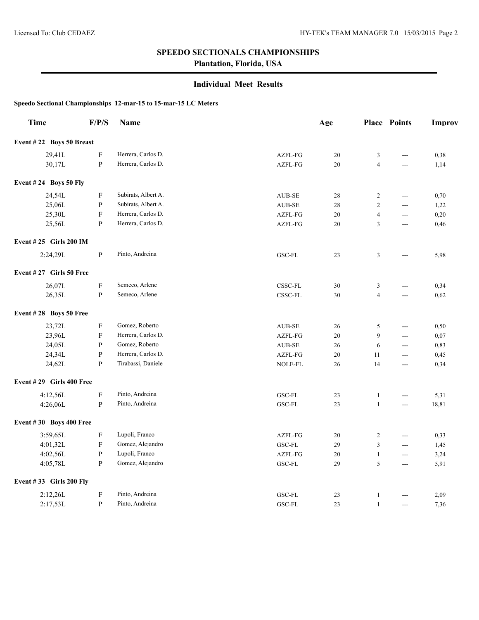### **SPEEDO SECTIONALS CHAMPIONSHIPS**

**Plantation, Florida, USA**

### **Individual Meet Results**

**Speedo Sectional Championships 12-mar-15 to 15-mar-15 LC Meters**

| <b>Time</b>                   | F/P/S                     | <b>Name</b>         |               | Age    |                | <b>Place Points</b> | Improv |
|-------------------------------|---------------------------|---------------------|---------------|--------|----------------|---------------------|--------|
| Event #22 Boys 50 Breast      |                           |                     |               |        |                |                     |        |
| 29,41L                        | ${\bf F}$                 | Herrera, Carlos D.  | AZFL-FG       | $20\,$ | 3              | ---                 | 0,38   |
| 30,17L                        | ${\bf P}$                 | Herrera, Carlos D.  | AZFL-FG       | 20     | $\overline{4}$ | ---                 | 1,14   |
| Event $#24$ Boys 50 Fly       |                           |                     |               |        |                |                     |        |
| 24,54L                        | ${\bf F}$                 | Subirats, Albert A. | <b>AUB-SE</b> | 28     | $\sqrt{2}$     | ---                 | 0,70   |
| 25,06L                        | ${\bf P}$                 | Subirats, Albert A. | AUB-SE        | 28     | $\overline{2}$ | ---                 | 1,22   |
| 25,30L                        | ${\bf F}$                 | Herrera, Carlos D.  | AZFL-FG       | 20     | $\overline{4}$ | $\overline{a}$      | 0,20   |
| 25,56L                        | ${\bf P}$                 | Herrera, Carlos D.  | AZFL-FG       | 20     | 3              | $ -$                | 0,46   |
| <b>Event #25 Girls 200 IM</b> |                           |                     |               |        |                |                     |        |
| 2:24,29L                      | ${\bf P}$                 | Pinto, Andreina     | GSC-FL        | 23     | 3              | ---                 | 5,98   |
| Event #27 Girls 50 Free       |                           |                     |               |        |                |                     |        |
| 26,07L                        | $\boldsymbol{\mathrm{F}}$ | Semeco, Arlene      | $CSSC$ -FL    | 30     | 3              | ---                 | 0,34   |
| 26,35L                        | ${\bf P}$                 | Semeco, Arlene      | $CSSC$ -FL    | $30\,$ | $\overline{4}$ | $\overline{a}$      | 0,62   |
| Event #28 Boys 50 Free        |                           |                     |               |        |                |                     |        |
| 23,72L                        | $\boldsymbol{\mathrm{F}}$ | Gomez, Roberto      | <b>AUB-SE</b> | 26     | 5              | ---                 | 0,50   |
| 23,96L                        | ${\bf F}$                 | Herrera, Carlos D.  | AZFL-FG       | 20     | 9              | $\frac{1}{2}$       | 0,07   |
| 24,05L                        | ${\bf P}$                 | Gomez, Roberto      | AUB-SE        | 26     | 6              | $\overline{a}$      | 0,83   |
| 24,34L                        | ${\bf P}$                 | Herrera, Carlos D.  | AZFL-FG       | 20     | 11             | ---                 | 0,45   |
| 24,62L                        | $\mathbf{P}$              | Tirabassi, Daniele  | NOLE-FL       | 26     | 14             | ---                 | 0,34   |
| Event #29 Girls 400 Free      |                           |                     |               |        |                |                     |        |
| 4:12,56L                      | $\boldsymbol{\mathrm{F}}$ | Pinto, Andreina     | GSC-FL        | 23     | $\mathbf{1}$   | ---                 | 5,31   |
| 4:26,06L                      | $\mathbf{P}$              | Pinto, Andreina     | GSC-FL        | 23     | $\mathbf{1}$   | ---                 | 18,81  |
| Event #30 Boys 400 Free       |                           |                     |               |        |                |                     |        |
| 3:59,65L                      | ${\bf F}$                 | Lupoli, Franco      | AZFL-FG       | 20     | $\overline{c}$ | ---                 | 0,33   |
| 4:01,32L                      | $\mathbf F$               | Gomez, Alejandro    | GSC-FL        | 29     | 3              | $\overline{a}$      | 1,45   |
| 4:02,56L                      | ${\bf P}$                 | Lupoli, Franco      | AZFL-FG       | 20     | $\mathbf{1}$   | $\overline{a}$      | 3,24   |
| 4:05,78L                      | ${\bf P}$                 | Gomez, Alejandro    | GSC-FL        | 29     | 5              | ---                 | 5,91   |
| Event #33 Girls 200 Fly       |                           |                     |               |        |                |                     |        |
| 2:12,26L                      | $\boldsymbol{\mathrm{F}}$ | Pinto, Andreina     | <b>GSC-FL</b> | 23     | 1              | ---                 | 2,09   |
| 2:17,53L                      | ${\bf P}$                 | Pinto, Andreina     | GSC-FL        | 23     | $\mathbf{1}$   | ---                 | 7,36   |